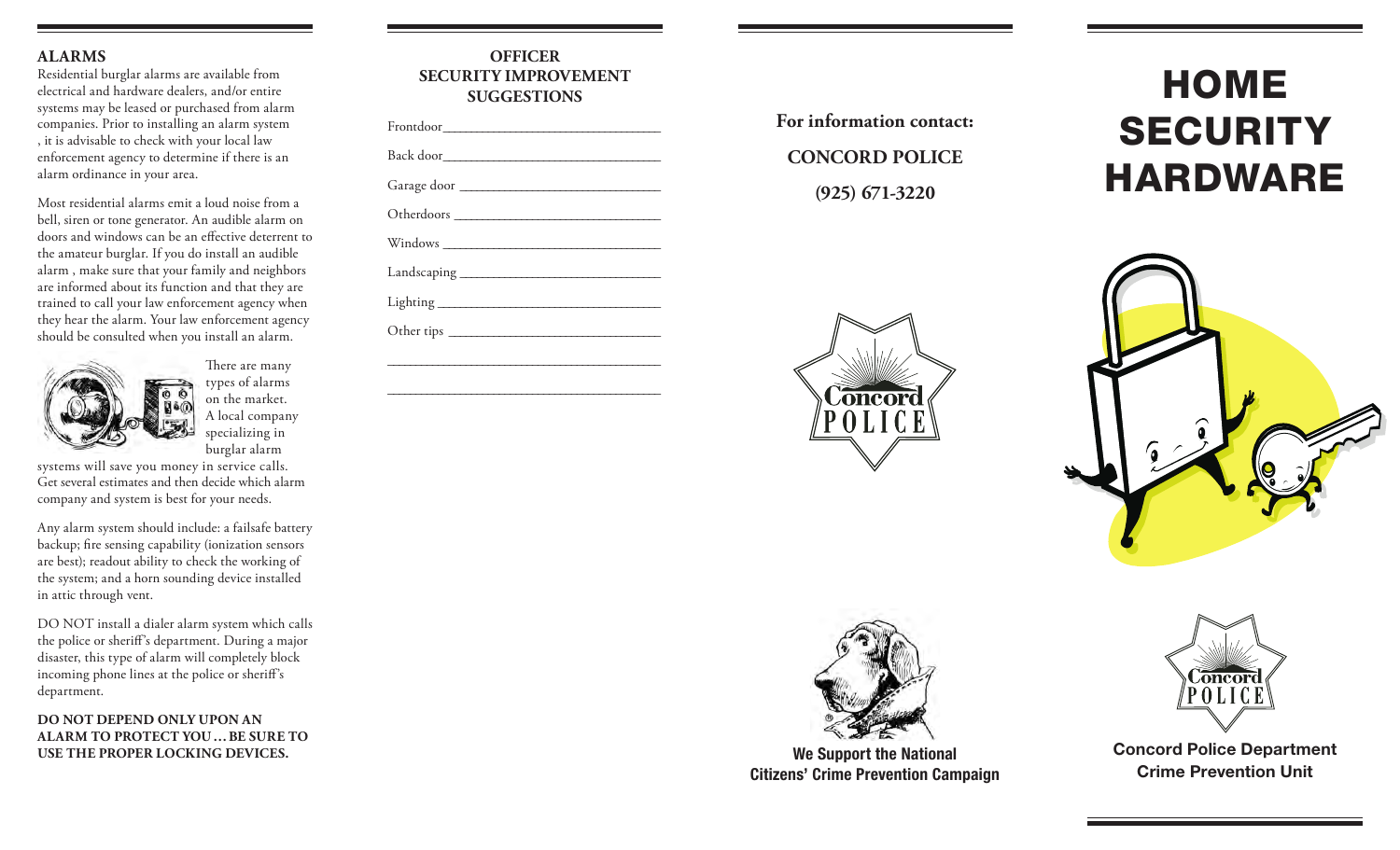#### **ALARMS**

Residential burglar alarms are available from electrical and hardware dealers, and/or entire systems may be leased or purchased from alarm companies. Prior to installing an alarm system , it is advisable to check with your local law enforcement agency to determine if there is an alarm ordinance in your area.

Most residential alarms emit a loud noise from a bell, siren or tone generator. An audible alarm on doors and windows can be an effective deterrent to the amateur burglar. If you do install an audible alarm , make sure that your family and neighbors are informed about its function and that they are trained to call your law enforcement agency when they hear the alarm. Your law enforcement agency should be consulted when you install an alarm.



There are many types of alarms on the market. A local company specializing in burglar alarm

systems will save you money in service calls. Get several estimates and then decide which alarm company and system is best for your needs.

Any alarm system should include: a failsafe battery backup; fire sensing capability (ionization sensors are best); readout ability to check the working of the system; and a horn sounding device installed in attic through vent.

DO NOT install a dialer alarm system which calls the police or sheriff's department. During a major disaster, this type of alarm will completely block incoming phone lines at the police or sheriff's department.

**DO NOT DEPEND ONLY UPON AN ALARM TO PROTECT YOU … BE SURE TO**  USE THE PROPER LOCKING DEVICES. **We Support the National** 

| <b>OFFICER</b><br><b>SECURITY IMPROVEMENT</b><br><b>SUGGESTIONS</b> |  |
|---------------------------------------------------------------------|--|
|                                                                     |  |
| Back door                                                           |  |
| Garage door                                                         |  |
|                                                                     |  |
|                                                                     |  |
|                                                                     |  |
|                                                                     |  |
|                                                                     |  |

\_\_\_\_\_\_\_\_\_\_\_\_\_\_\_\_\_\_\_\_\_\_\_\_\_\_\_\_\_\_\_\_\_\_\_\_\_\_\_\_\_\_\_\_\_\_\_\_\_

\_\_\_\_\_\_\_\_\_\_\_\_\_\_\_\_\_\_\_\_\_\_\_\_\_\_\_\_\_\_\_\_\_\_\_\_\_\_\_\_\_\_\_\_\_\_\_\_\_

**For information contact: CONCORD POLICE (925) 671-3220**

# HOME **SECURITY** HARDWARE







Citizens' Crime Prevention Campaign



Concord Police Department Crime Prevention Unit